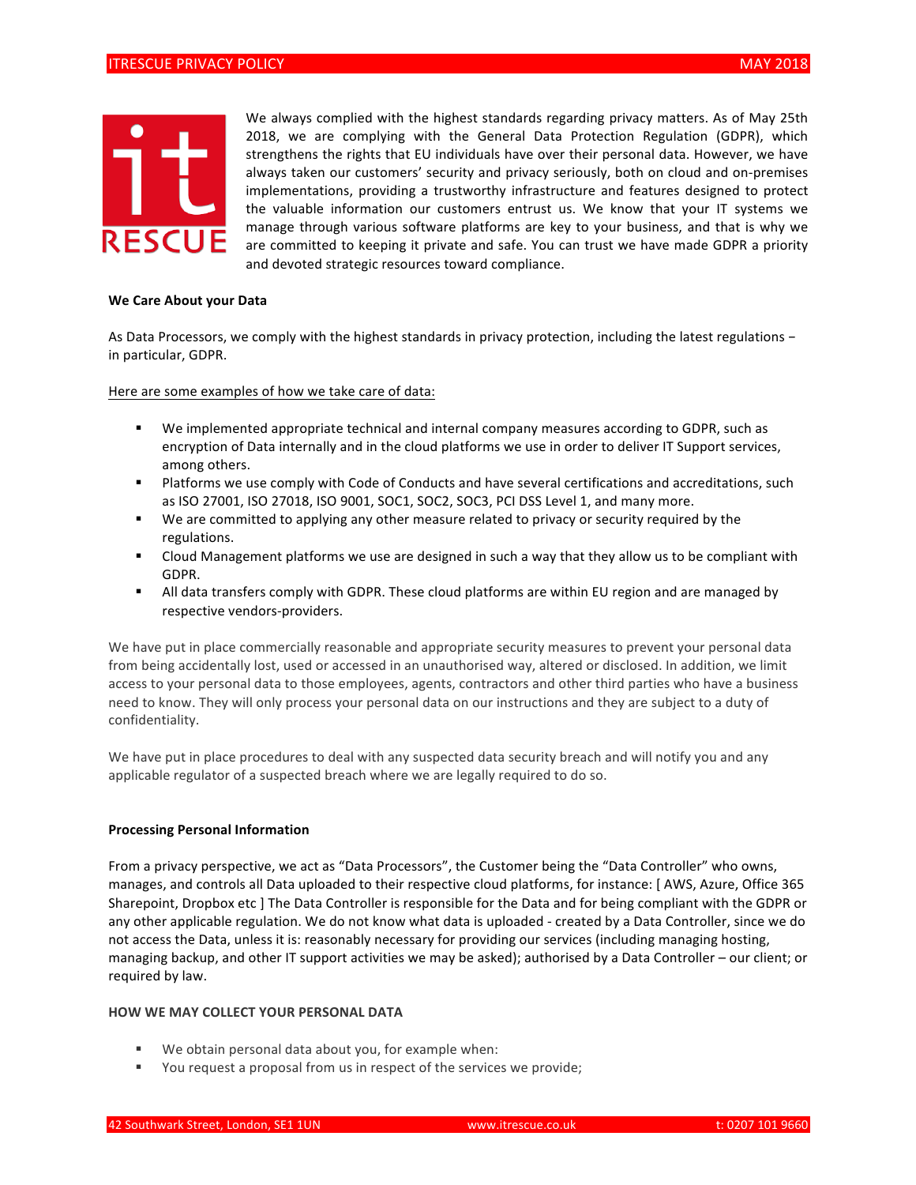

We always complied with the highest standards regarding privacy matters. As of May 25th 2018, we are complying with the General Data Protection Regulation (GDPR), which strengthens the rights that EU individuals have over their personal data. However, we have always taken our customers' security and privacy seriously, both on cloud and on-premises implementations, providing a trustworthy infrastructure and features designed to protect the valuable information our customers entrust us. We know that your IT systems we manage through various software platforms are key to your business, and that is why we are committed to keeping it private and safe. You can trust we have made GDPR a priority and devoted strategic resources toward compliance.

#### We Care About your Data

As Data Processors, we comply with the highest standards in privacy protection, including the latest regulations − in particular, GDPR.

Here are some examples of how we take care of data:

- " We implemented appropriate technical and internal company measures according to GDPR, such as encryption of Data internally and in the cloud platforms we use in order to deliver IT Support services, among others.
- " Platforms we use comply with Code of Conducts and have several certifications and accreditations, such as ISO 27001, ISO 27018, ISO 9001, SOC1, SOC2, SOC3, PCI DSS Level 1, and many more.
- " We are committed to applying any other measure related to privacy or security required by the regulations.
- " Cloud Management platforms we use are designed in such a way that they allow us to be compliant with GDPR.
- " All data transfers comply with GDPR. These cloud platforms are within EU region and are managed by respective vendors-providers.

We have put in place commercially reasonable and appropriate security measures to prevent your personal data from being accidentally lost, used or accessed in an unauthorised way, altered or disclosed. In addition, we limit access to your personal data to those employees, agents, contractors and other third parties who have a business need to know. They will only process your personal data on our instructions and they are subject to a duty of confidentiality.

We have put in place procedures to deal with any suspected data security breach and will notify you and any applicable regulator of a suspected breach where we are legally required to do so.

#### **Processing Personal Information**

From a privacy perspective, we act as "Data Processors", the Customer being the "Data Controller" who owns, manages, and controls all Data uploaded to their respective cloud platforms, for instance: [AWS, Azure, Office 365 Sharepoint, Dropbox etc ] The Data Controller is responsible for the Data and for being compliant with the GDPR or any other applicable regulation. We do not know what data is uploaded - created by a Data Controller, since we do not access the Data, unless it is: reasonably necessary for providing our services (including managing hosting, managing backup, and other IT support activities we may be asked); authorised by a Data Controller – our client; or required by law.

# **HOW WE MAY COLLECT YOUR PERSONAL DATA**

- We obtain personal data about you, for example when:
- " You request a proposal from us in respect of the services we provide;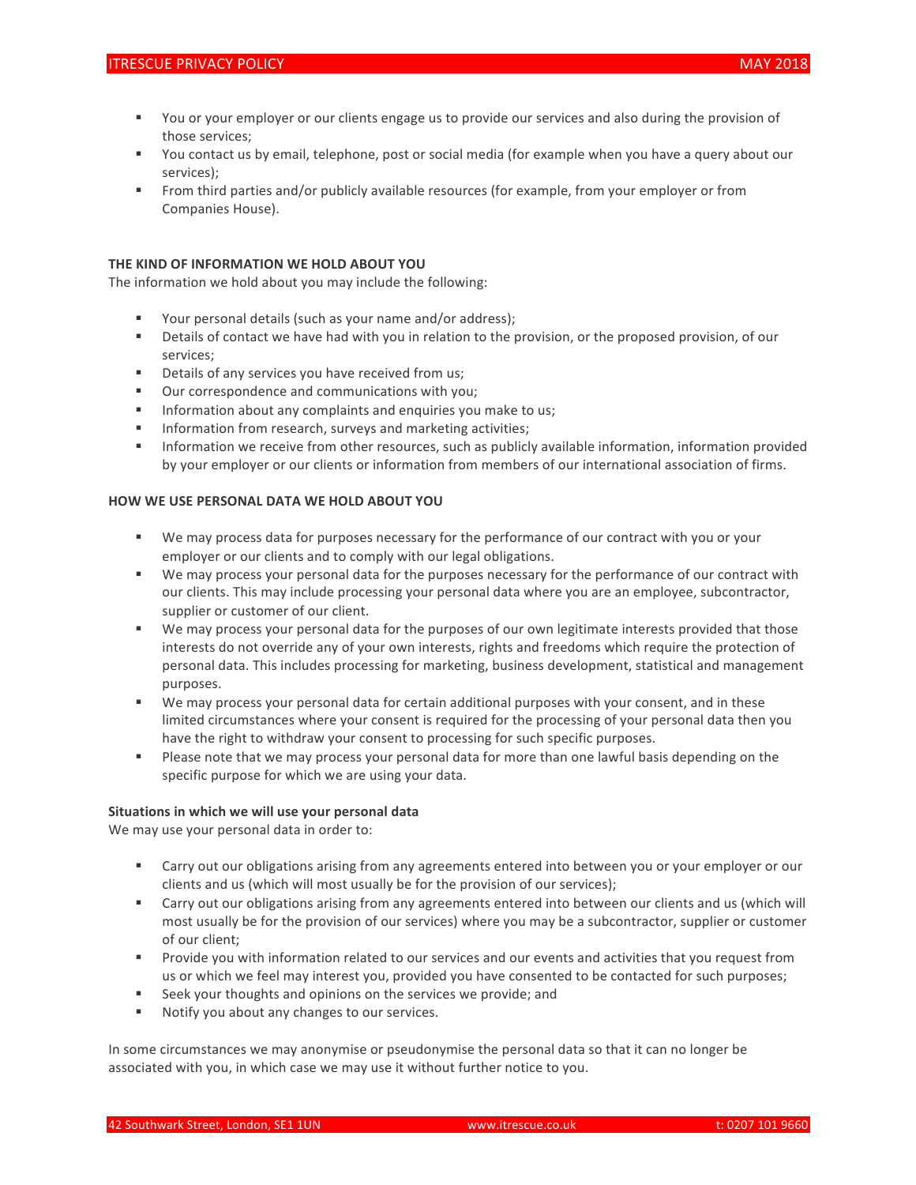- " You or your employer or our clients engage us to provide our services and also during the provision of those services;
- " You contact us by email, telephone, post or social media (for example when you have a query about our services);
- " From third parties and/or publicly available resources (for example, from your employer or from Companies House).

# **THE KIND OF INFORMATION WE HOLD ABOUT YOU**

The information we hold about you may include the following:

- Your personal details (such as your name and/or address);
- " Details of contact we have had with you in relation to the provision, or the proposed provision, of our services;
- **"** Details of any services you have received from us;
- Our correspondence and communications with you;
- **"** Information about any complaints and enquiries you make to us;
- **"** Information from research, surveys and marketing activities;
- "Information we receive from other resources, such as publicly available information, information provided by your employer or our clients or information from members of our international association of firms.

### **HOW WE USE PERSONAL DATA WE HOLD ABOUT YOU**

- " We may process data for purposes necessary for the performance of our contract with you or your employer or our clients and to comply with our legal obligations.
- " We may process your personal data for the purposes necessary for the performance of our contract with our clients. This may include processing your personal data where you are an employee, subcontractor, supplier or customer of our client.
- " We may process your personal data for the purposes of our own legitimate interests provided that those interests do not override any of your own interests, rights and freedoms which require the protection of personal data. This includes processing for marketing, business development, statistical and management purposes.
- " We may process your personal data for certain additional purposes with your consent, and in these limited circumstances where your consent is required for the processing of your personal data then you have the right to withdraw your consent to processing for such specific purposes.
- Please note that we may process your personal data for more than one lawful basis depending on the specific purpose for which we are using your data.

#### Situations in which we will use your personal data

We may use your personal data in order to:

- " Carry out our obligations arising from any agreements entered into between you or your employer or our clients and us (which will most usually be for the provision of our services);
- " Carry out our obligations arising from any agreements entered into between our clients and us (which will most usually be for the provision of our services) where you may be a subcontractor, supplier or customer of our client;
- " Provide you with information related to our services and our events and activities that you request from us or which we feel may interest you, provided you have consented to be contacted for such purposes;
- Seek your thoughts and opinions on the services we provide; and
- **"** Notify you about any changes to our services.

In some circumstances we may anonymise or pseudonymise the personal data so that it can no longer be associated with you, in which case we may use it without further notice to you.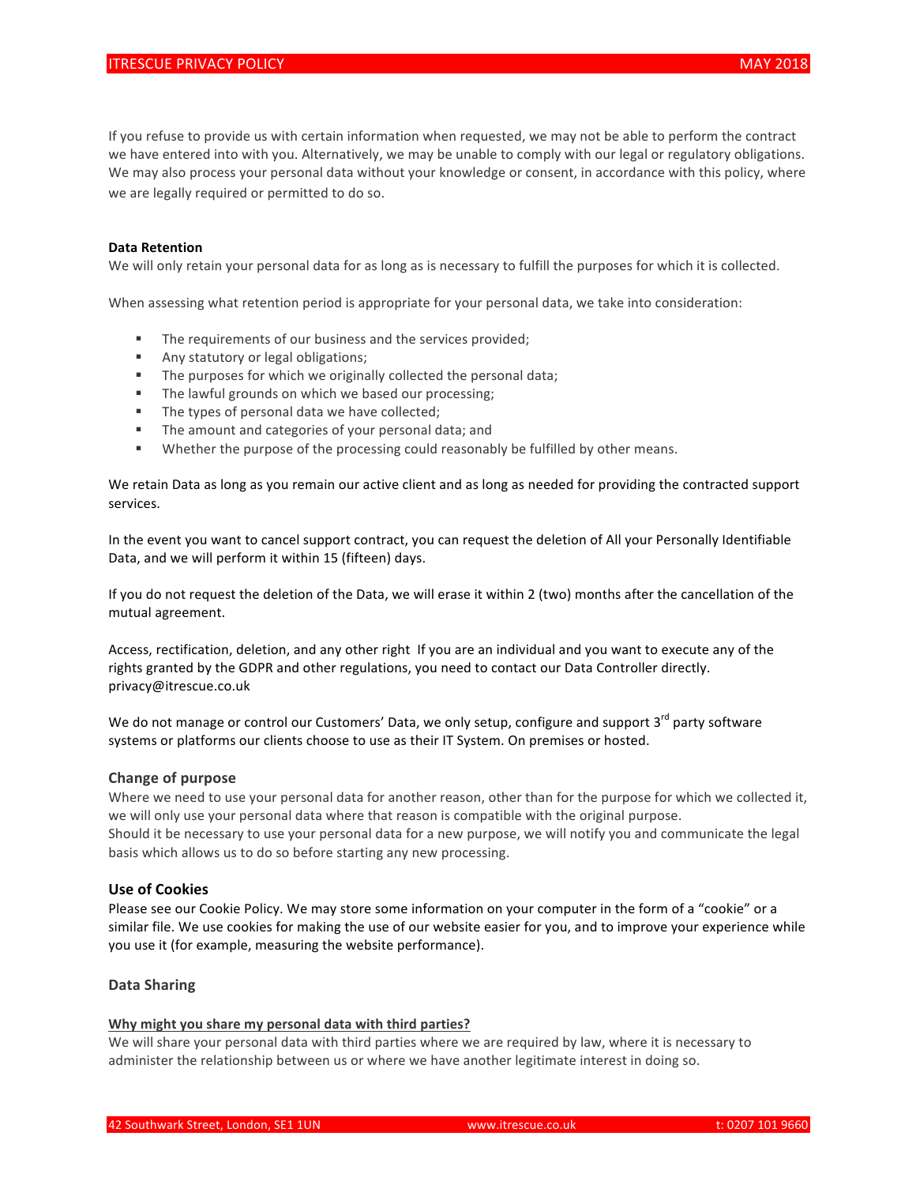If you refuse to provide us with certain information when requested, we may not be able to perform the contract we have entered into with you. Alternatively, we may be unable to comply with our legal or regulatory obligations. We may also process your personal data without your knowledge or consent, in accordance with this policy, where we are legally required or permitted to do so.

#### **Data Retention**

We will only retain your personal data for as long as is necessary to fulfill the purposes for which it is collected.

When assessing what retention period is appropriate for your personal data, we take into consideration:

- " The requirements of our business and the services provided;
- **EXECUTE:** Any statutory or legal obligations;
- $\blacksquare$  The purposes for which we originally collected the personal data;
- " The lawful grounds on which we based our processing;
- " The types of personal data we have collected;
- " The amount and categories of your personal data; and
- " Whether the purpose of the processing could reasonably be fulfilled by other means.

We retain Data as long as you remain our active client and as long as needed for providing the contracted support services. 

In the event you want to cancel support contract, you can request the deletion of All your Personally Identifiable Data, and we will perform it within 15 (fifteen) days.

If you do not request the deletion of the Data, we will erase it within 2 (two) months after the cancellation of the mutual agreement.

Access, rectification, deletion, and any other right If you are an individual and you want to execute any of the rights granted by the GDPR and other regulations, you need to contact our Data Controller directly. privacy@itrescue.co.uk

We do not manage or control our Customers' Data, we only setup, configure and support 3<sup>rd</sup> party software systems or platforms our clients choose to use as their IT System. On premises or hosted.

#### **Change of purpose**

Where we need to use your personal data for another reason, other than for the purpose for which we collected it, we will only use your personal data where that reason is compatible with the original purpose. Should it be necessary to use your personal data for a new purpose, we will notify you and communicate the legal basis which allows us to do so before starting any new processing.

# **Use of Cookies**

Please see our Cookie Policy. We may store some information on your computer in the form of a "cookie" or a similar file. We use cookies for making the use of our website easier for you, and to improve your experience while you use it (for example, measuring the website performance).

### **Data Sharing**

## Why might you share my personal data with third parties?

We will share your personal data with third parties where we are required by law, where it is necessary to administer the relationship between us or where we have another legitimate interest in doing so.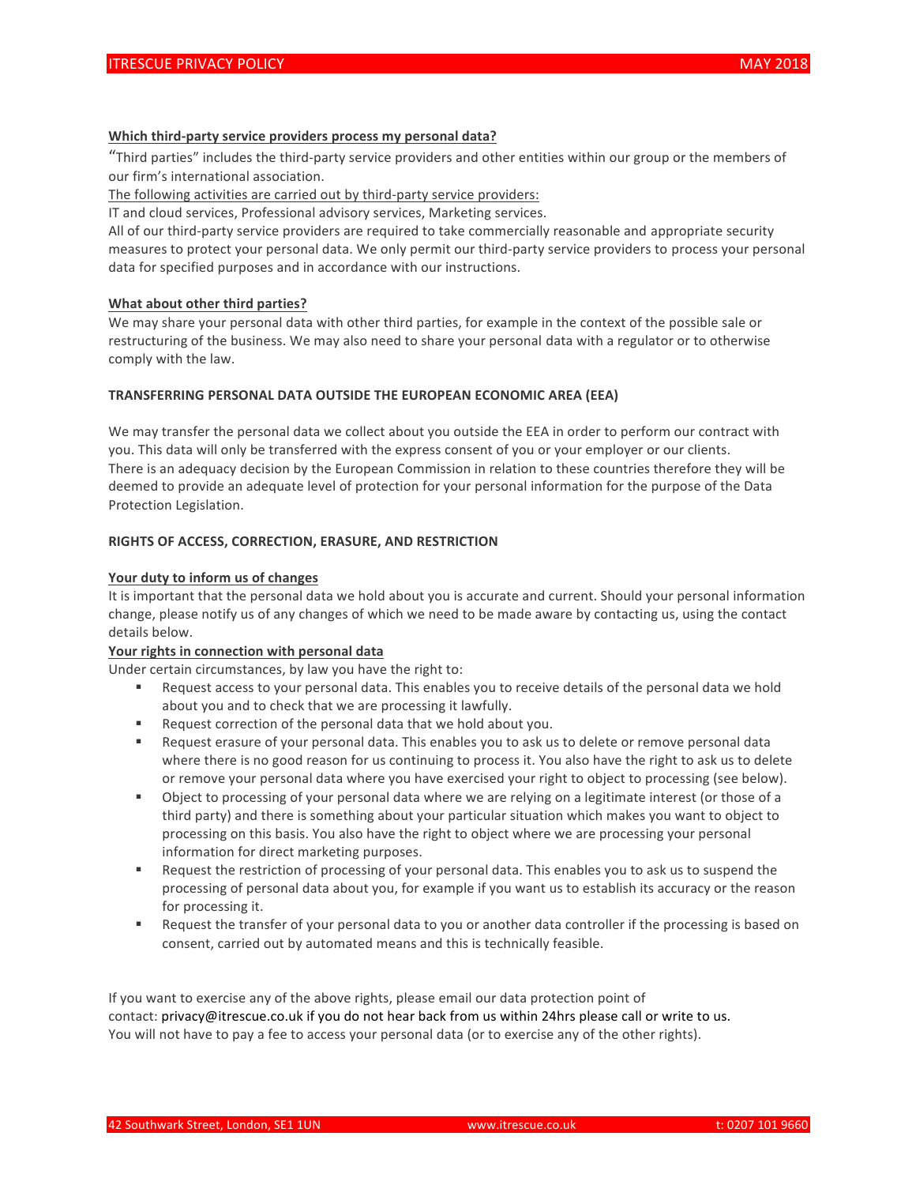# Which third-party service providers process my personal data?

"Third parties" includes the third-party service providers and other entities within our group or the members of our firm's international association.

The following activities are carried out by third-party service providers:

IT and cloud services, Professional advisory services, Marketing services.

All of our third-party service providers are required to take commercially reasonable and appropriate security measures to protect your personal data. We only permit our third-party service providers to process your personal data for specified purposes and in accordance with our instructions.

# **What about other third parties?**

We may share your personal data with other third parties, for example in the context of the possible sale or restructuring of the business. We may also need to share your personal data with a regulator or to otherwise comply with the law.

## **TRANSFERRING PERSONAL DATA OUTSIDE THE EUROPEAN ECONOMIC AREA (EEA)**

We may transfer the personal data we collect about you outside the EEA in order to perform our contract with you. This data will only be transferred with the express consent of you or your employer or our clients. There is an adequacy decision by the European Commission in relation to these countries therefore they will be deemed to provide an adequate level of protection for your personal information for the purpose of the Data Protection Legislation.

# **RIGHTS OF ACCESS, CORRECTION, ERASURE, AND RESTRICTION**

# Your duty to inform us of changes

It is important that the personal data we hold about you is accurate and current. Should your personal information change, please notify us of any changes of which we need to be made aware by contacting us, using the contact details below.

### Your rights in connection with personal data

Under certain circumstances, by law you have the right to:

- " Request access to your personal data. This enables you to receive details of the personal data we hold about you and to check that we are processing it lawfully.
- Request correction of the personal data that we hold about you.
- Request erasure of your personal data. This enables you to ask us to delete or remove personal data where there is no good reason for us continuing to process it. You also have the right to ask us to delete or remove your personal data where you have exercised your right to object to processing (see below).
- Object to processing of your personal data where we are relying on a legitimate interest (or those of a third party) and there is something about your particular situation which makes you want to object to processing on this basis. You also have the right to object where we are processing your personal information for direct marketing purposes.
- "Request the restriction of processing of your personal data. This enables you to ask us to suspend the processing of personal data about you, for example if you want us to establish its accuracy or the reason for processing it.
- " Request the transfer of your personal data to you or another data controller if the processing is based on consent, carried out by automated means and this is technically feasible.

If you want to exercise any of the above rights, please email our data protection point of contact: privacy@itrescue.co.uk if you do not hear back from us within 24hrs please call or write to us. You will not have to pay a fee to access your personal data (or to exercise any of the other rights).